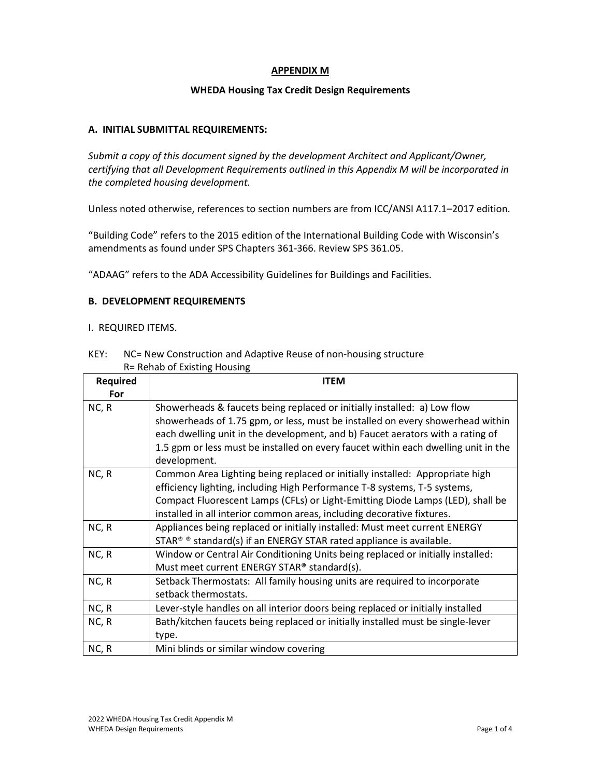# **APPENDIX M**

## **WHEDA Housing Tax Credit Design Requirements**

## **A. INITIAL SUBMITTAL REQUIREMENTS:**

*Submit a copy of this document signed by the development Architect and Applicant/Owner, certifying that all Development Requirements outlined in this Appendix M will be incorporated in the completed housing development.*

Unless noted otherwise, references to section numbers are from ICC/ANSI A117.1–2017 edition.

"Building Code" refers to the 2015 edition of the International Building Code with Wisconsin's amendments as found under SPS Chapters 361-366. Review SPS 361.05.

"ADAAG" refers to the ADA Accessibility Guidelines for Buildings and Facilities.

## **B. DEVELOPMENT REQUIREMENTS**

#### I. REQUIRED ITEMS.

| NET.<br><u>NC- New Construction and Adaptive Reuse of Holl-Housing Structure</u> |                                                                                    |  |  |  |  |
|----------------------------------------------------------------------------------|------------------------------------------------------------------------------------|--|--|--|--|
| R= Rehab of Existing Housing                                                     |                                                                                    |  |  |  |  |
| <b>Required</b>                                                                  | <b>ITEM</b>                                                                        |  |  |  |  |
| For                                                                              |                                                                                    |  |  |  |  |
| NC, R                                                                            | Showerheads & faucets being replaced or initially installed: a) Low flow           |  |  |  |  |
|                                                                                  | showerheads of 1.75 gpm, or less, must be installed on every showerhead within     |  |  |  |  |
|                                                                                  | each dwelling unit in the development, and b) Faucet aerators with a rating of     |  |  |  |  |
|                                                                                  | 1.5 gpm or less must be installed on every faucet within each dwelling unit in the |  |  |  |  |
|                                                                                  | development.                                                                       |  |  |  |  |
| NC, R                                                                            | Common Area Lighting being replaced or initially installed: Appropriate high       |  |  |  |  |
|                                                                                  | efficiency lighting, including High Performance T-8 systems, T-5 systems,          |  |  |  |  |
|                                                                                  | Compact Fluorescent Lamps (CFLs) or Light-Emitting Diode Lamps (LED), shall be     |  |  |  |  |
|                                                                                  | installed in all interior common areas, including decorative fixtures.             |  |  |  |  |
| NC, R                                                                            | Appliances being replaced or initially installed: Must meet current ENERGY         |  |  |  |  |
|                                                                                  | STAR <sup>®</sup> ® standard(s) if an ENERGY STAR rated appliance is available.    |  |  |  |  |
| NC, R                                                                            | Window or Central Air Conditioning Units being replaced or initially installed:    |  |  |  |  |
|                                                                                  | Must meet current ENERGY STAR® standard(s).                                        |  |  |  |  |
| NC, R                                                                            | Setback Thermostats: All family housing units are required to incorporate          |  |  |  |  |
|                                                                                  | setback thermostats.                                                               |  |  |  |  |

# KEY: NC= New Construction and Adaptive Reuse of non-housing structure

 $NC, R$  Lever-style handles on all interior doors being replaced or initially installed  $NC, R$  Bath/kitchen faucets being replaced or initially installed must be single-lever type.  $NC, R$  Mini blinds or similar window covering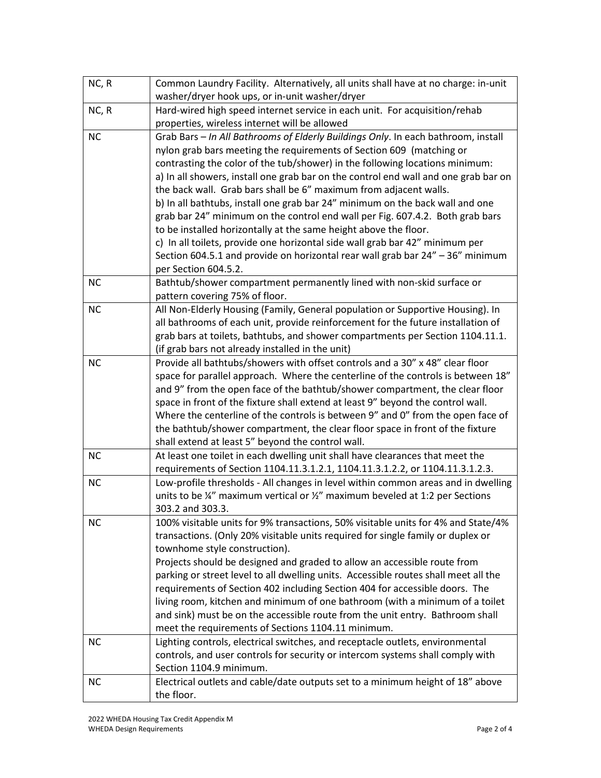| NC, R     | Common Laundry Facility. Alternatively, all units shall have at no charge: in-unit<br>washer/dryer hook ups, or in-unit washer/dryer |  |  |  |  |
|-----------|--------------------------------------------------------------------------------------------------------------------------------------|--|--|--|--|
| NC, R     | Hard-wired high speed internet service in each unit. For acquisition/rehab                                                           |  |  |  |  |
|           | properties, wireless internet will be allowed                                                                                        |  |  |  |  |
| <b>NC</b> | Grab Bars - In All Bathrooms of Elderly Buildings Only. In each bathroom, install                                                    |  |  |  |  |
|           | nylon grab bars meeting the requirements of Section 609 (matching or                                                                 |  |  |  |  |
|           | contrasting the color of the tub/shower) in the following locations minimum:                                                         |  |  |  |  |
|           | a) In all showers, install one grab bar on the control end wall and one grab bar on                                                  |  |  |  |  |
|           | the back wall. Grab bars shall be 6" maximum from adjacent walls.                                                                    |  |  |  |  |
|           | b) In all bathtubs, install one grab bar 24" minimum on the back wall and one                                                        |  |  |  |  |
|           | grab bar 24" minimum on the control end wall per Fig. 607.4.2. Both grab bars                                                        |  |  |  |  |
|           | to be installed horizontally at the same height above the floor.                                                                     |  |  |  |  |
|           | c) In all toilets, provide one horizontal side wall grab bar 42" minimum per                                                         |  |  |  |  |
|           | Section 604.5.1 and provide on horizontal rear wall grab bar 24" - 36" minimum                                                       |  |  |  |  |
|           | per Section 604.5.2.                                                                                                                 |  |  |  |  |
| <b>NC</b> | Bathtub/shower compartment permanently lined with non-skid surface or<br>pattern covering 75% of floor.                              |  |  |  |  |
| <b>NC</b> | All Non-Elderly Housing (Family, General population or Supportive Housing). In                                                       |  |  |  |  |
|           | all bathrooms of each unit, provide reinforcement for the future installation of                                                     |  |  |  |  |
|           | grab bars at toilets, bathtubs, and shower compartments per Section 1104.11.1.                                                       |  |  |  |  |
|           | (if grab bars not already installed in the unit)                                                                                     |  |  |  |  |
| <b>NC</b> | Provide all bathtubs/showers with offset controls and a 30" x 48" clear floor                                                        |  |  |  |  |
|           | space for parallel approach. Where the centerline of the controls is between 18"                                                     |  |  |  |  |
|           | and 9" from the open face of the bathtub/shower compartment, the clear floor                                                         |  |  |  |  |
|           | space in front of the fixture shall extend at least 9" beyond the control wall.                                                      |  |  |  |  |
|           | Where the centerline of the controls is between 9" and 0" from the open face of                                                      |  |  |  |  |
|           | the bathtub/shower compartment, the clear floor space in front of the fixture                                                        |  |  |  |  |
|           | shall extend at least 5" beyond the control wall.                                                                                    |  |  |  |  |
| <b>NC</b> | At least one toilet in each dwelling unit shall have clearances that meet the                                                        |  |  |  |  |
|           | requirements of Section 1104.11.3.1.2.1, 1104.11.3.1.2.2, or 1104.11.3.1.2.3.                                                        |  |  |  |  |
| <b>NC</b> | Low-profile thresholds - All changes in level within common areas and in dwelling                                                    |  |  |  |  |
|           | units to be ¼" maximum vertical or ¼" maximum beveled at 1:2 per Sections                                                            |  |  |  |  |
|           | 303.2 and 303.3.                                                                                                                     |  |  |  |  |
| <b>NC</b> | 100% visitable units for 9% transactions, 50% visitable units for 4% and State/4%                                                    |  |  |  |  |
|           | transactions. (Only 20% visitable units required for single family or duplex or                                                      |  |  |  |  |
|           | townhome style construction).                                                                                                        |  |  |  |  |
|           | Projects should be designed and graded to allow an accessible route from                                                             |  |  |  |  |
|           | parking or street level to all dwelling units. Accessible routes shall meet all the                                                  |  |  |  |  |
|           | requirements of Section 402 including Section 404 for accessible doors. The                                                          |  |  |  |  |
|           | living room, kitchen and minimum of one bathroom (with a minimum of a toilet                                                         |  |  |  |  |
|           | and sink) must be on the accessible route from the unit entry. Bathroom shall                                                        |  |  |  |  |
|           | meet the requirements of Sections 1104.11 minimum.                                                                                   |  |  |  |  |
| <b>NC</b> | Lighting controls, electrical switches, and receptacle outlets, environmental                                                        |  |  |  |  |
|           | controls, and user controls for security or intercom systems shall comply with                                                       |  |  |  |  |
|           | Section 1104.9 minimum.                                                                                                              |  |  |  |  |
| <b>NC</b> | Electrical outlets and cable/date outputs set to a minimum height of 18" above                                                       |  |  |  |  |
|           | the floor.                                                                                                                           |  |  |  |  |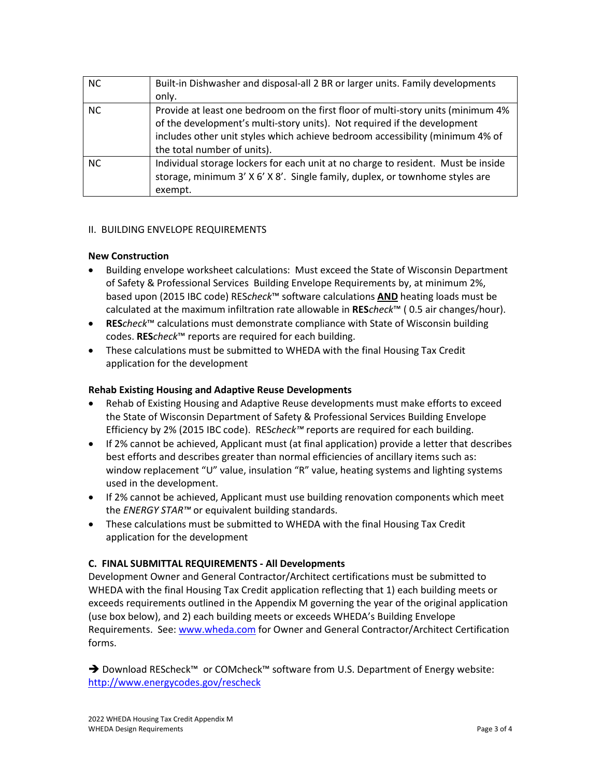| <b>NC</b> | Built-in Dishwasher and disposal-all 2 BR or larger units. Family developments    |  |  |
|-----------|-----------------------------------------------------------------------------------|--|--|
|           | only.                                                                             |  |  |
| <b>NC</b> | Provide at least one bedroom on the first floor of multi-story units (minimum 4%  |  |  |
|           | of the development's multi-story units). Not required if the development          |  |  |
|           | includes other unit styles which achieve bedroom accessibility (minimum 4% of     |  |  |
|           | the total number of units).                                                       |  |  |
| <b>NC</b> | Individual storage lockers for each unit at no charge to resident. Must be inside |  |  |
|           | storage, minimum 3' X 6' X 8'. Single family, duplex, or townhome styles are      |  |  |
|           | exempt.                                                                           |  |  |

# II. BUILDING ENVELOPE REQUIREMENTS

# **New Construction**

- Building envelope worksheet calculations: Must exceed the State of Wisconsin Department of Safety & Professional Services Building Envelope Requirements by, at minimum 2%, based upon (2015 IBC code) RES*check*™ software calculations **AND** heating loads must be calculated at the maximum infiltration rate allowable in **RES***check*™ ( 0.5 air changes/hour).
- **RES***check*™ calculations must demonstrate compliance with State of Wisconsin building codes. **RES***check*™ reports are required for each building.
- These calculations must be submitted to WHEDA with the final Housing Tax Credit application for the development

# **Rehab Existing Housing and Adaptive Reuse Developments**

- Rehab of Existing Housing and Adaptive Reuse developments must make efforts to exceed the State of Wisconsin Department of Safety & Professional Services Building Envelope Efficiency by 2% (2015 IBC code). RES*check™* reports are required for each building.
- If 2% cannot be achieved, Applicant must (at final application) provide a letter that describes best efforts and describes greater than normal efficiencies of ancillary items such as: window replacement "U" value, insulation "R" value, heating systems and lighting systems used in the development.
- If 2% cannot be achieved, Applicant must use building renovation components which meet the *ENERGY STAR™* or equivalent building standards.
- These calculations must be submitted to WHEDA with the final Housing Tax Credit application for the development

# **C. FINAL SUBMITTAL REQUIREMENTS - All Developments**

Development Owner and General Contractor/Architect certifications must be submitted to WHEDA with the final Housing Tax Credit application reflecting that 1) each building meets or exceeds requirements outlined in the Appendix M governing the year of the original application (use box below), and 2) each building meets or exceeds WHEDA's Building Envelope Requirements. See: [www.wheda.com](http://www.wheda.com/) for Owner and General Contractor/Architect Certification forms.

→ Download REScheck™ or COMcheck™ software from U.S. Department of Energy website: <http://www.energycodes.gov/rescheck>